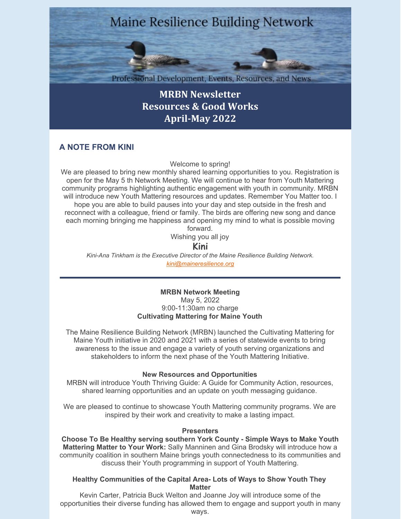# **Maine Resilience Building Network**

Professional Development, Events, Resources, and News

**MRBN [Newsletter](https://maineresilience.org/) [Resources](https://maineresilience.org/) & Good Works [April-May](https://maineresilience.org/) 2022**

# **A NOTE FROM KINI**

Welcome to spring!

We are pleased to bring new monthly shared learning opportunities to you. Registration is open for the May 5 th Network Meeting. We will continue to hear from Youth Mattering community programs highlighting authentic engagement with youth in community. MRBN will introduce new Youth Mattering resources and updates. Remember You Matter too. I hope you are able to build pauses into your day and step outside in the fresh and reconnect with a colleague, friend or family. The birds are offering new song and dance each morning bringing me happiness and opening my mind to what is possible moving forward.

Wishing you all joy

## **Kini**

*Kini-Ana Tinkham is the Executive Director of the Maine Resilience Building Network. [kini@maineresilience.org](mailto:kini@maineresilience.org)*

> **MRBN Network Meeting** May 5, 2022 9:00-11:30am no charge **Cultivating Mattering for Maine Youth**

The Maine Resilience Building Network (MRBN) launched the Cultivating Mattering for Maine Youth initiative in 2020 and 2021 with a series of statewide events to bring awareness to the issue and engage a variety of youth serving organizations and stakeholders to inform the next phase of the Youth Mattering Initiative.

## **New Resources and Opportunities**

MRBN will introduce Youth Thriving Guide: A Guide for Community Action, resources, shared learning opportunities and an update on youth messaging guidance.

We are pleased to continue to showcase Youth Mattering community programs. We are inspired by their work and creativity to make a lasting impact.

## **Presenters**

**Choose To Be Healthy serving southern York County - Simple Ways to Make Youth Mattering Matter to Your Work:** Sally Manninen and Gina Brodsky will introduce how a community coalition in southern Maine brings youth connectedness to its communities and discuss their Youth programming in support of Youth Mattering.

## **Healthy Communities of the Capital Area- Lots of Ways to Show Youth They Matter**

Kevin Carter, Patricia Buck Welton and Joanne Joy will introduce some of the opportunities their diverse funding has allowed them to engage and support youth in many ways.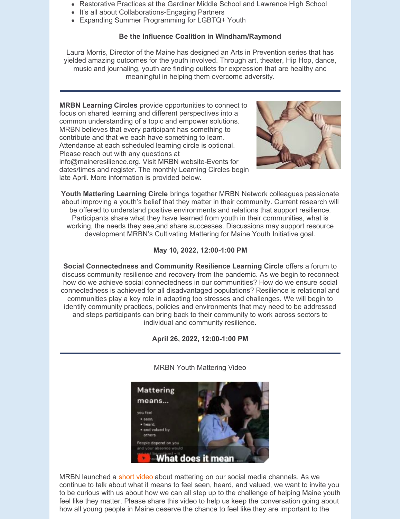- Restorative Practices at the Gardiner Middle School and Lawrence High School
- It's all about Collaborations-Engaging Partners
- Expanding Summer Programming for LGBTQ+ Youth

## **Be the Influence Coalition in Windham/Raymond**

Laura Morris, Director of the Maine has designed an Arts in Prevention series that has yielded amazing outcomes for the youth involved. Through art, theater, Hip Hop, dance, music and journaling, youth are finding outlets for expression that are healthy and meaningful in helping them overcome adversity.

**MRBN Learning Circles** provide opportunities to connect to focus on shared learning and different perspectives into a common understanding of a topic and empower solutions. MRBN believes that every participant has something to contribute and that we each have something to learn. Attendance at each scheduled learning circle is optional. Please reach out with any questions at info@maineresilience.org. Visit MRBN website-Events for dates/times and register. The monthly Learning Circles begin late April. More information is provided below.



**Youth Mattering Learning Circle** brings together MRBN Network colleagues passionate about improving a youth's belief that they matter in their community. Current research will be offered to understand positive environments and relations that support resilience. Participants share what they have learned from youth in their communities, what is working, the needs they see,and share successes. Discussions may support resource development MRBN's Cultivating Mattering for Maine Youth Initiative goal.

## **May 10, 2022, 12:00-1:00 PM**

**Social Connectedness and Community Resilience Learning Circle** offers a forum to discuss community resilience and recovery from the pandemic. As we begin to reconnect how do we achieve social connectedness in our communities? How do we ensure social connectedness is achieved for all disadvantaged populations? Resilience is relational and communities play a key role in adapting too stresses and challenges. We will begin to identify community practices, policies and environments that may need to be addressed and steps participants can bring back to their community to work across sectors to individual and community resilience.



**April 26, 2022, 12:00-1:00 PM**

MRBN launched a [short](https://www.youtube.com/watch?v=dfd1M8BwHGU) video about mattering on our social media channels. As we continue to talk about what it means to feel seen, heard, and valued, we want to invite you to be curious with us about how we can all step up to the challenge of helping Maine youth feel like they matter. Please share this video to help us keep the conversation going about how all young people in Maine deserve the chance to feel like they are important to the

MRBN Youth Mattering Video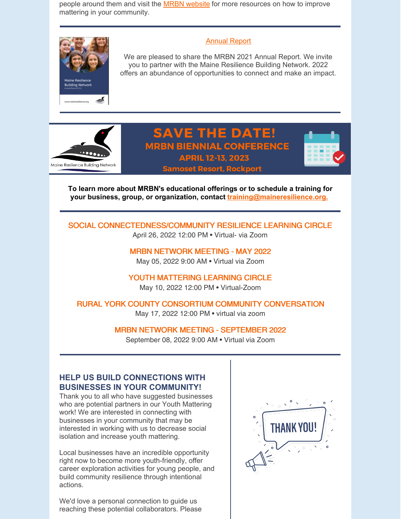people around them and visit the MRBN [website](https://maineresilience.org/) for more resources on how to improve mattering in your community.



#### [Annual](https://maineresilience.org/Annual-Report) Report

We are pleased to share the MRBN 2021 Annual Report. We invite you to partner with the Maine Resilience Building Network. 2022 offers an abundance of opportunities to connect and make an impact.



# **SAVE THE DATE! MRBN BIENNIAL CONFERENCE APRIL 12-13, 2023**



**Samoset Resort, Rockport** 

**To learn more about MRBN's educational offerings or to schedule a training for your business, group, or organization, contact [training@maineresilience.org.](mailto:training@maineresilience.org)**

SOCIAL [CONNECTEDNESS/COMMUNITY](https://maineresilience.org/event-4770123) RESILIENCE LEARNING CIRCLE April 26, 2022 12:00 PM • Virtual- via Zoom

> MRBN [NETWORK](https://maineresilience.org/event-4596203) MEETING - MAY 2022 May 05, 2022 9:00 AM • Virtual via Zoom

YOUTH [MATTERING](https://maineresilience.org/event-4770093) LEARNING CIRCLE May 10, 2022 12:00 PM • Virtual-Zoom

RURAL YORK COUNTY CONSORTIUM COMMUNITY [CONVERSATION](https://maineresilience.org/event-4779374) May 17, 2022 12:00 PM • virtual via zoom

MRBN NETWORK MEETING - [SEPTEMBER](https://maineresilience.org/event-4596214) 2022

September 08, 2022 9:00 AM • Virtual via Zoom

# **HELP US BUILD CONNECTIONS WITH BUSINESSES IN YOUR COMMUNITY!**

Thank you to all who have suggested businesses who are potential partners in our Youth Mattering work! We are interested in connecting with businesses in your community that may be interested in working with us to decrease social isolation and increase youth mattering.

Local businesses have an incredible opportunity right now to become more youth-friendly, offer career exploration activities for young people, and build community resilience through intentional actions.

We'd love a personal connection to guide us reaching these potential collaborators. Please